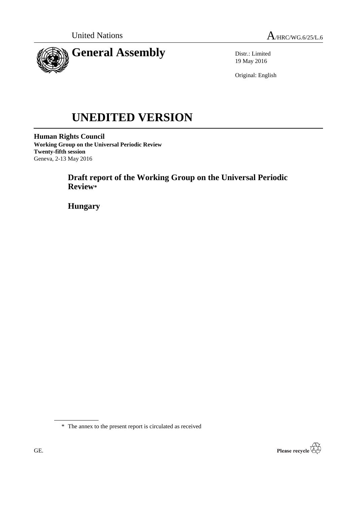



Distr.: Limited 19 May 2016

Original: English

# **UNEDITED VERSION**

**Human Rights Council Working Group on the Universal Periodic Review Twenty-fifth session** Geneva, 2-13 May 2016

> **Draft report of the Working Group on the Universal Periodic Review\***

**Hungary**

\* The annex to the present report is circulated as received

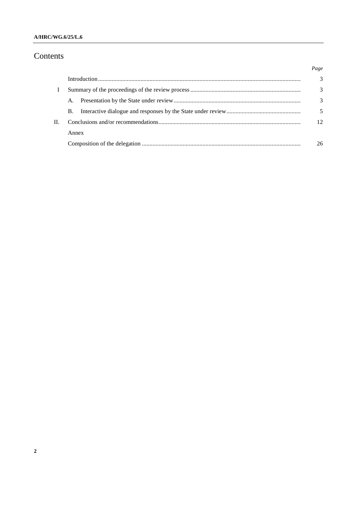# Contents

|              |       | Page          |
|--------------|-------|---------------|
|              |       | $\mathcal{F}$ |
| $\mathbf{I}$ |       | 3             |
|              | A.    | 3             |
|              | Β.    |               |
|              |       | 12            |
|              | Annex |               |
|              |       | 26            |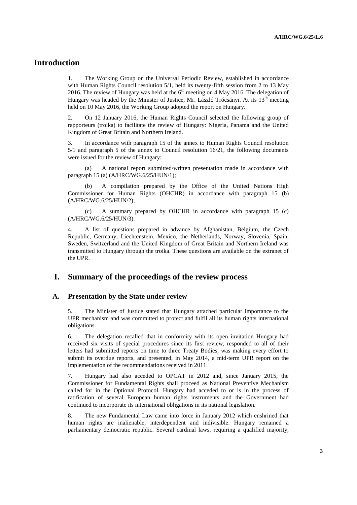# **Introduction**

1. The Working Group on the Universal Periodic Review, established in accordance with Human Rights Council resolution 5/1, held its twenty-fifth session from 2 to 13 May 2016. The review of Hungary was held at the  $6<sup>th</sup>$  meeting on 4 May 2016. The delegation of Hungary was headed by the Minister of Justice, Mr. László Trócsányi. At its  $13<sup>th</sup>$  meeting held on 10 May 2016, the Working Group adopted the report on Hungary.

2. On 12 January 2016, the Human Rights Council selected the following group of rapporteurs (troika) to facilitate the review of Hungary: Nigeria, Panama and the United Kingdom of Great Britain and Northern Ireland.

3. In accordance with paragraph 15 of the annex to Human Rights Council resolution 5/1 and paragraph 5 of the annex to Council resolution 16/21, the following documents were issued for the review of Hungary:

(a) A national report submitted/written presentation made in accordance with paragraph 15 (a) (A/HRC/WG.6/25/HUN/1);

(b) A compilation prepared by the Office of the United Nations High Commissioner for Human Rights (OHCHR) in accordance with paragraph 15 (b) (A/HRC/WG.6/25/HUN/2);

(c) A summary prepared by OHCHR in accordance with paragraph 15 (c) (A/HRC/WG.6/25/HUN/3).

4. A list of questions prepared in advance by Afghanistan, Belgium, the Czech Republic, Germany, Liechtenstein, Mexico, the Netherlands, Norway, Slovenia, Spain, Sweden, Switzerland and the United Kingdom of Great Britain and Northern Ireland was transmitted to Hungary through the troika. These questions are available on the extranet of the UPR.

## **I. Summary of the proceedings of the review process**

#### **A. Presentation by the State under review**

5. The Minister of Justice stated that Hungary attached particular importance to the UPR mechanism and was committed to protect and fulfil all its human rights international obligations.

6. The delegation recalled that in conformity with its open invitation Hungary had received six visits of special procedures since its first review, responded to all of their letters had submitted reports on time to three Treaty Bodies, was making every effort to submit its overdue reports, and presented, in May 2014, a mid-term UPR report on the implementation of the recommendations received in 2011.

7. Hungary had also acceded to OPCAT in 2012 and, since January 2015, the Commissioner for Fundamental Rights shall proceed as National Preventive Mechanism called for in the Optional Protocol. Hungary had acceded to or is in the process of ratification of several European human rights instruments and the Government had continued to incorporate its international obligations in its national legislation.

8. The new Fundamental Law came into force in January 2012 which enshrined that human rights are inalienable, interdependent and indivisible. Hungary remained a parliamentary democratic republic. Several cardinal laws, requiring a qualified majority,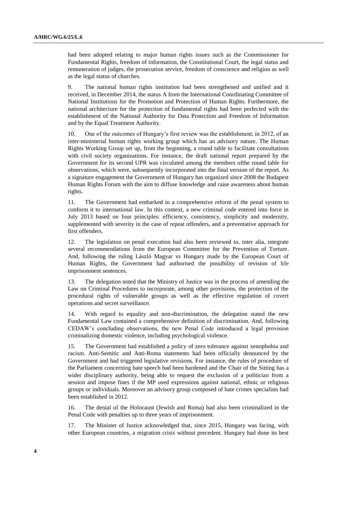had been adopted relating to major human rights issues such as the Commissioner for Fundamental Rights, freedom of information, the Constitutional Court, the legal status and remuneration of judges, the prosecution service, freedom of conscience and religion as well as the legal status of churches.

9. The national human rights institution had been strengthened and unified and it received, in December 2014, the status A from the International Coordinating Committee of National Institutions for the Promotion and Protection of Human Rights. Furthermore, the national architecture for the protection of fundamental rights had been perfected with the establishment of the National Authority for Data Protection and Freedom of Information and by the Equal Treatment Authority.

10. One of the outcomes of Hungary's first review was the establishment, in 2012, of an inter-ministerial human rights working group which has an advisory nature. The Human Rights Working Group set up, from the beginning, a round table to facilitate consultations with civil society organizations. For instance, the draft national report prepared by the Government for its second UPR was circulated among the members ofthe round table for observations, which were, subsequently incorporated into the final version of the report. As a signature engagement the Government of Hungary has organized since 2008 the Budapest Human Rights Forum with the aim to diffuse knowledge and raise awareness about human rights.

11. The Government had embarked in a comprehensive reform of the penal system to conform it to international law. In this context, a new criminal code entered into force in July 2013 based on four principles: efficiency, consistency, simplicity and modernity, supplemented with severity in the case of repeat offenders, and a preventative approach for first offenders.

12. The legislation on penal execution had also been reviewed to, inter alia, integrate several recommendations from the European Committee for the Prevention of Torture. And, following the ruling László Magyar vs Hungary made by the European Court of Human Rights, the Government had authorised the possibility of revision of life imprisonment sentences.

13. The delegation noted that the Ministry of Justice was in the process of amending the Law on Criminal Procedures to incorporate, among other provisions, the protection of the procedural rights of vulnerable groups as well as the effective regulation of covert operations and secret surveillance.

14. With regard to equality and non-discrimination, the delegation stated the new Fundamental Law contained a comprehensive definition of discrimination. And, following CEDAW's concluding observations, the new Penal Code introduced a legal provision criminalizing domestic violence, including psychological violence.

15. The Government had established a policy of zero tolerance against xenophobia and racism. Anti-Semitic and Anti-Roma statements had been officially denounced by the Government and had triggered legislative revisions. For instance, the rules of procedure of the Parliament concerning hate speech had been hardened and the Chair of the Sitting has a wider disciplinary authority, being able to request the exclusion of a politician from a session and impose fines if the MP used expressions against national, ethnic or religious groups or individuals. Moreover an advisory group composed of hate crimes specialists had been established in 2012.

16. The denial of the Holocaust (Jewish and Roma) had also been criminalized in the Penal Code with penalties up to three years of imprisonment.

17. The Minister of Justice acknowledged that, since 2015, Hungary was facing, with other European countries, a migration crisis without precedent. Hungary had done its best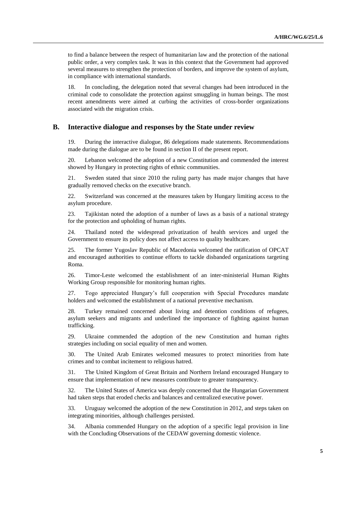to find a balance between the respect of humanitarian law and the protection of the national public order, a very complex task. It was in this context that the Government had approved several measures to strengthen the protection of borders, and improve the system of asylum, in compliance with international standards.

18. In concluding, the delegation noted that several changes had been introduced in the criminal code to consolidate the protection against smuggling in human beings. The most recent amendments were aimed at curbing the activities of cross-border organizations associated with the migration crisis.

#### **B. Interactive dialogue and responses by the State under review**

19. During the interactive dialogue, 86 delegations made statements. Recommendations made during the dialogue are to be found in section II of the present report.

20. Lebanon welcomed the adoption of a new Constitution and commended the interest showed by Hungary in protecting rights of ethnic communities.

21. Sweden stated that since 2010 the ruling party has made major changes that have gradually removed checks on the executive branch.

22. Switzerland was concerned at the measures taken by Hungary limiting access to the asylum procedure.

23. Tajikistan noted the adoption of a number of laws as a basis of a national strategy for the protection and upholding of human rights.

24. Thailand noted the widespread privatization of health services and urged the Government to ensure its policy does not affect access to quality healthcare.

25. The former Yugoslav Republic of Macedonia welcomed the ratification of OPCAT and encouraged authorities to continue efforts to tackle disbanded organizations targeting Roma.

26. Timor-Leste welcomed the establishment of an inter-ministerial Human Rights Working Group responsible for monitoring human rights.

27. Togo appreciated Hungary's full cooperation with Special Procedures mandate holders and welcomed the establishment of a national preventive mechanism.

28. Turkey remained concerned about living and detention conditions of refugees, asylum seekers and migrants and underlined the importance of fighting against human trafficking.

29. Ukraine commended the adoption of the new Constitution and human rights strategies including on social equality of men and women.

30. The United Arab Emirates welcomed measures to protect minorities from hate crimes and to combat incitement to religious hatred.

31. The United Kingdom of Great Britain and Northern Ireland encouraged Hungary to ensure that implementation of new measures contribute to greater transparency.

32. The United States of America was deeply concerned that the Hungarian Government had taken steps that eroded checks and balances and centralized executive power.

33. Uruguay welcomed the adoption of the new Constitution in 2012, and steps taken on integrating minorities, although challenges persisted.

34. Albania commended Hungary on the adoption of a specific legal provision in line with the Concluding Observations of the CEDAW governing domestic violence.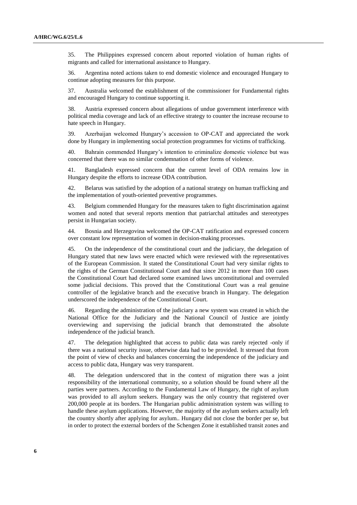35. The Philippines expressed concern about reported violation of human rights of migrants and called for international assistance to Hungary.

36. Argentina noted actions taken to end domestic violence and encouraged Hungary to continue adopting measures for this purpose.

37. Australia welcomed the establishment of the commissioner for Fundamental rights and encouraged Hungary to continue supporting it.

38. Austria expressed concern about allegations of undue government interference with political media coverage and lack of an effective strategy to counter the increase recourse to hate speech in Hungary.

39. Azerbaijan welcomed Hungary's accession to OP-CAT and appreciated the work done by Hungary in implementing social protection programmes for victims of trafficking.

40. Bahrain commended Hungary's intention to criminalize domestic violence but was concerned that there was no similar condemnation of other forms of violence.

41. Bangladesh expressed concern that the current level of ODA remains low in Hungary despite the efforts to increase ODA contribution.

42. Belarus was satisfied by the adoption of a national strategy on human trafficking and the implementation of youth-oriented preventive programmes.

43. Belgium commended Hungary for the measures taken to fight discrimination against women and noted that several reports mention that patriarchal attitudes and stereotypes persist in Hungarian society.

44. Bosnia and Herzegovina welcomed the OP-CAT ratification and expressed concern over constant low representation of women in decision-making processes.

45. On the independence of the constitutional court and the judiciary, the delegation of Hungary stated that new laws were enacted which were reviewed with the representatives of the European Commission. It stated the Constitutional Court had very similar rights to the rights of the German Constitutional Court and that since 2012 in more than 100 cases the Constitutional Court had declared some examined laws unconstitutional and overruled some judicial decisions. This proved that the Constitutional Court was a real genuine controller of the legislative branch and the executive branch in Hungary. The delegation underscored the independence of the Constitutional Court.

46. Regarding the administration of the judiciary a new system was created in which the National Office for the Judiciary and the National Council of Justice are jointly overviewing and supervising the judicial branch that demonstrated the absolute independence of the judicial branch.

47. The delegation highlighted that access to public data was rarely rejected -only if there was a national security issue, otherwise data had to be provided. It stressed that from the point of view of checks and balances concerning the independence of the judiciary and access to public data, Hungary was very transparent.

48. The delegation underscored that in the context of migration there was a joint responsibility of the international community, so a solution should be found where all the parties were partners. According to the Fundamental Law of Hungary, the right of asylum was provided to all asylum seekers. Hungary was the only country that registered over 200,000 people at its borders. The Hungarian public administration system was willing to handle these asylum applications. However, the majority of the asylum seekers actually left the country shortly after applying for asylum.. Hungary did not close the border per se, but in order to protect the external borders of the Schengen Zone it established transit zones and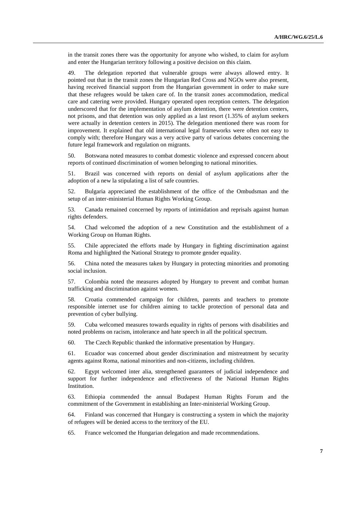in the transit zones there was the opportunity for anyone who wished, to claim for asylum and enter the Hungarian territory following a positive decision on this claim.

49. The delegation reported that vulnerable groups were always allowed entry. It pointed out that in the transit zones the Hungarian Red Cross and NGOs were also present, having received financial support from the Hungarian government in order to make sure that these refugees would be taken care of. In the transit zones accommodation, medical care and catering were provided. Hungary operated open reception centers. The delegation underscored that for the implementation of asylum detention, there were detention centers, not prisons, and that detention was only applied as a last resort (1.35% of asylum seekers were actually in detention centers in 2015). The delegation mentioned there was room for improvement. It explained that old international legal frameworks were often not easy to comply with; therefore Hungary was a very active party of various debates concerning the future legal framework and regulation on migrants.

50. Botswana noted measures to combat domestic violence and expressed concern about reports of continued discrimination of women belonging to national minorities.

51. Brazil was concerned with reports on denial of asylum applications after the adoption of a new la stipulating a list of safe countries.

52. Bulgaria appreciated the establishment of the office of the Ombudsman and the setup of an inter-ministerial Human Rights Working Group.

53. Canada remained concerned by reports of intimidation and reprisals against human rights defenders.

54. Chad welcomed the adoption of a new Constitution and the establishment of a Working Group on Human Rights.

55. Chile appreciated the efforts made by Hungary in fighting discrimination against Roma and highlighted the National Strategy to promote gender equality.

56. China noted the measures taken by Hungary in protecting minorities and promoting social inclusion.

57. Colombia noted the measures adopted by Hungary to prevent and combat human trafficking and discrimination against women.

58. Croatia commended campaign for children, parents and teachers to promote responsible internet use for children aiming to tackle protection of personal data and prevention of cyber bullying.

59. Cuba welcomed measures towards equality in rights of persons with disabilities and noted problems on racism, intolerance and hate speech in all the political spectrum.

60. The Czech Republic thanked the informative presentation by Hungary.

61. Ecuador was concerned about gender discrimination and mistreatment by security agents against Roma, national minorities and non-citizens, including children.

62. Egypt welcomed inter alia, strengthened guarantees of judicial independence and support for further independence and effectiveness of the National Human Rights Institution.

63. Ethiopia commended the annual Budapest Human Rights Forum and the commitment of the Government in establishing an Inter-ministerial Working Group.

64. Finland was concerned that Hungary is constructing a system in which the majority of refugees will be denied access to the territory of the EU.

65. France welcomed the Hungarian delegation and made recommendations.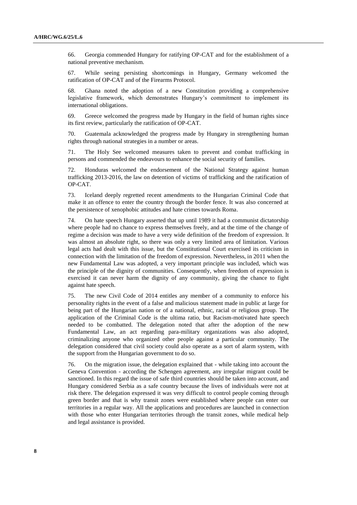66. Georgia commended Hungary for ratifying OP-CAT and for the establishment of a national preventive mechanism.

67. While seeing persisting shortcomings in Hungary, Germany welcomed the ratification of OP-CAT and of the Firearms Protocol.

68. Ghana noted the adoption of a new Constitution providing a comprehensive legislative framework, which demonstrates Hungary's commitment to implement its international obligations.

69. Greece welcomed the progress made by Hungary in the field of human rights since its first review, particularly the ratification of OP-CAT.

70. Guatemala acknowledged the progress made by Hungary in strengthening human rights through national strategies in a number or areas.

71. The Holy See welcomed measures taken to prevent and combat trafficking in persons and commended the endeavours to enhance the social security of families.

72. Honduras welcomed the endorsement of the National Strategy against human trafficking 2013-2016, the law on detention of victims of trafficking and the ratification of OP-CAT.

73. Iceland deeply regretted recent amendments to the Hungarian Criminal Code that make it an offence to enter the country through the border fence. It was also concerned at the persistence of xenophobic attitudes and hate crimes towards Roma.

74. On hate speech Hungary asserted that up until 1989 it had a communist dictatorship where people had no chance to express themselves freely, and at the time of the change of regime a decision was made to have a very wide definition of the freedom of expression. It was almost an absolute right, so there was only a very limited area of limitation. Various legal acts had dealt with this issue, but the Constitutional Court exercised its criticism in connection with the limitation of the freedom of expression. Nevertheless, in 2011 when the new Fundamental Law was adopted, a very important principle was included, which was the principle of the dignity of communities. Consequently, when freedom of expression is exercised it can never harm the dignity of any community, giving the chance to fight against hate speech.

75. The new Civil Code of 2014 entitles any member of a community to enforce his personality rights in the event of a false and malicious statement made in public at large for being part of the Hungarian nation or of a national, ethnic, racial or religious group. The application of the Criminal Code is the ultima ratio, but Racism-motivated hate speech needed to be combatted. The delegation noted that after the adoption of the new Fundamental Law, an act regarding para-military organizations was also adopted, criminalizing anyone who organized other people against a particular community. The delegation considered that civil society could also operate as a sort of alarm system, with the support from the Hungarian government to do so.

76. On the migration issue, the delegation explained that - while taking into account the Geneva Convention - according the Schengen agreement, any irregular migrant could be sanctioned. In this regard the issue of safe third countries should be taken into account, and Hungary considered Serbia as a safe country because the lives of individuals were not at risk there. The delegation expressed it was very difficult to control people coming through green border and that is why transit zones were established where people can enter our territories in a regular way. All the applications and procedures are launched in connection with those who enter Hungarian territories through the transit zones, while medical help and legal assistance is provided.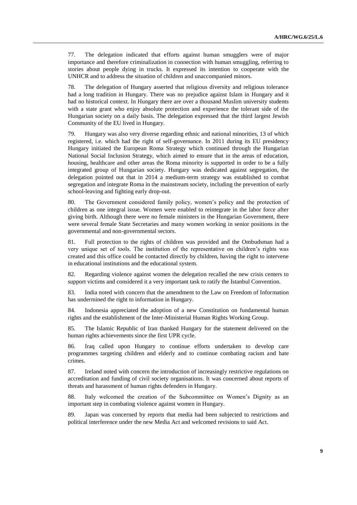77. The delegation indicated that efforts against human smugglers were of major importance and therefore criminalization in connection with human smuggling, referring to stories about people dying in trucks. It expressed its intention to cooperate with the UNHCR and to address the situation of children and unaccompanied minors.

78. The delegation of Hungary asserted that religious diversity and religious tolerance had a long tradition in Hungary. There was no prejudice against Islam in Hungary and it had no historical context. In Hungary there are over a thousand Muslim university students with a state grant who enjoy absolute protection and experience the tolerant side of the Hungarian society on a daily basis. The delegation expressed that the third largest Jewish Community of the EU lived in Hungary.

79. Hungary was also very diverse regarding ethnic and national minorities, 13 of which registered, i.e. which had the right of self-governance. In 2011 during its EU presidency Hungary initiated the European Roma Strategy which continued through the Hungarian National Social Inclusion Strategy, which aimed to ensure that in the areas of education, housing, healthcare and other areas the Roma minority is supported in order to be a fully integrated group of Hungarian society. Hungary was dedicated against segregation, the delegation pointed out that in 2014 a medium-term strategy was established to combat segregation and integrate Roma in the mainstream society, including the prevention of early school-leaving and fighting early drop-out.

80. The Government considered family policy, women's policy and the protection of children as one integral issue. Women were enabled to reintegrate in the labor force after giving birth. Although there were no female ministers in the Hungarian Government, there were several female State Secretaries and many women working in senior positions in the governmental and non-governmental sectors.

81. Full protection to the rights of children was provided and the Ombudsman had a very unique set of tools. The institution of the representative on children's rights was created and this office could be contacted directly by children, having the right to intervene in educational institutions and the educational system.

82. Regarding violence against women the delegation recalled the new crisis centers to support victims and considered it a very important task to ratify the Istanbul Convention.

83. India noted with concern that the amendment to the Law on Freedom of Information has undermined the right to information in Hungary.

84. Indonesia appreciated the adoption of a new Constitution on fundamental human rights and the establishment of the Inter-Ministerial Human Rights Working Group.

85. The Islamic Republic of Iran thanked Hungary for the statement delivered on the human rights achievements since the first UPR cycle.

86. Iraq called upon Hungary to continue efforts undertaken to develop care programmes targeting children and elderly and to continue combating racism and hate crimes.

87. Ireland noted with concern the introduction of increasingly restrictive regulations on accreditation and funding of civil society organisations. It was concerned about reports of threats and harassment of human rights defenders in Hungary.

88. Italy welcomed the creation of the Subcommittee on Women's Dignity as an important step in combating violence against women in Hungary.

89. Japan was concerned by reports that media had been subjected to restrictions and political interference under the new Media Act and welcomed revisions to said Act.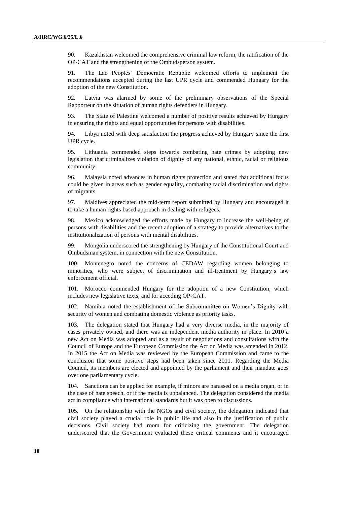90. Kazakhstan welcomed the comprehensive criminal law reform, the ratification of the OP-CAT and the strengthening of the Ombudsperson system.

91. The Lao Peoples' Democratic Republic welcomed efforts to implement the recommendations accepted during the last UPR cycle and commended Hungary for the adoption of the new Constitution.

92. Latvia was alarmed by some of the preliminary observations of the Special Rapporteur on the situation of human rights defenders in Hungary.

93. The State of Palestine welcomed a number of positive results achieved by Hungary in ensuring the rights and equal opportunities for persons with disabilities.

94. Libya noted with deep satisfaction the progress achieved by Hungary since the first UPR cycle.

95. Lithuania commended steps towards combating hate crimes by adopting new legislation that criminalizes violation of dignity of any national, ethnic, racial or religious community.

96. Malaysia noted advances in human rights protection and stated that additional focus could be given in areas such as gender equality, combating racial discrimination and rights of migrants.

97. Maldives appreciated the mid-term report submitted by Hungary and encouraged it to take a human rights based approach in dealing with refugees.

98. Mexico acknowledged the efforts made by Hungary to increase the well-being of persons with disabilities and the recent adoption of a strategy to provide alternatives to the institutionalization of persons with mental disabilities.

99. Mongolia underscored the strengthening by Hungary of the Constitutional Court and Ombudsman system, in connection with the new Constitution.

100. Montenegro noted the concerns of CEDAW regarding women belonging to minorities, who were subject of discrimination and ill-treatment by Hungary's law enforcement official.

101. Morocco commended Hungary for the adoption of a new Constitution, which includes new legislative texts, and for acceding OP-CAT.

102. Namibia noted the establishment of the Subcommittee on Women's Dignity with security of women and combating domestic violence as priority tasks.

103. The delegation stated that Hungary had a very diverse media, in the majority of cases privately owned, and there was an independent media authority in place. In 2010 a new Act on Media was adopted and as a result of negotiations and consultations with the Council of Europe and the European Commission the Act on Media was amended in 2012. In 2015 the Act on Media was reviewed by the European Commission and came to the conclusion that some positive steps had been taken since 2011. Regarding the Media Council, its members are elected and appointed by the parliament and their mandate goes over one parliamentary cycle.

104. Sanctions can be applied for example, if minors are harassed on a media organ, or in the case of hate speech, or if the media is unbalanced. The delegation considered the media act in compliance with international standards but it was open to discussions.

105. On the relationship with the NGOs and civil society, the delegation indicated that civil society played a crucial role in public life and also in the justification of public decisions. Civil society had room for criticizing the government. The delegation underscored that the Government evaluated these critical comments and it encouraged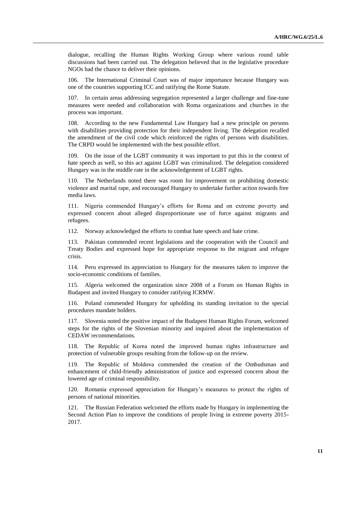dialogue, recalling the Human Rights Working Group where various round table discussions had been carried out. The delegation believed that in the legislative procedure NGOs had the chance to deliver their opinions.

106. The International Criminal Court was of major importance because Hungary was one of the countries supporting ICC and ratifying the Rome Statute.

107. In certain areas addressing segregation represented a larger challenge and fine-tune measures were needed and collaboration with Roma organizations and churches in the process was important.

108. According to the new Fundamental Law Hungary had a new principle on persons with disabilities providing protection for their independent living. The delegation recalled the amendment of the civil code which reinforced the rights of persons with disabilities. The CRPD would be implemented with the best possible effort.

109. On the issue of the LGBT community it was important to put this in the context of hate speech as well, so this act against LGBT was criminalized. The delegation considered Hungary was in the middle rate in the acknowledgement of LGBT rights.

110. The Netherlands noted there was room for improvement on prohibiting domestic violence and marital rape, and encouraged Hungary to undertake further action towards free media laws.

111. Nigeria commended Hungary's efforts for Roma and on extreme poverty and expressed concern about alleged disproportionate use of force against migrants and refugees.

112. Norway acknowledged the efforts to combat hate speech and hate crime.

113. Pakistan commended recent legislations and the cooperation with the Council and Treaty Bodies and expressed hope for appropriate response to the migrant and refugee crisis.

114. Peru expressed its appreciation to Hungary for the measures taken to improve the socio-economic conditions of families.

115. Algeria welcomed the organization since 2008 of a Forum on Human Rights in Budapest and invited Hungary to consider ratifying ICRMW.

116. Poland commended Hungary for upholding its standing invitation to the special procedures mandate holders.

117. Slovenia noted the positive impact of the Budapest Human Rights Forum, welcomed steps for the rights of the Slovenian minority and inquired about the implementation of CEDAW recommendations.

118. The Republic of Korea noted the improved human rights infrastructure and protection of vulnerable groups resulting from the follow-up on the review.

119. The Republic of Moldova commended the creation of the Ombudsman and enhancement of child-friendly administration of justice and expressed concern about the lowered age of criminal responsibility.

120. Romania expressed appreciation for Hungary's measures to protect the rights of persons of national minorities.

121. The Russian Federation welcomed the efforts made by Hungary in implementing the Second Action Plan to improve the conditions of people living in extreme poverty 2015- 2017.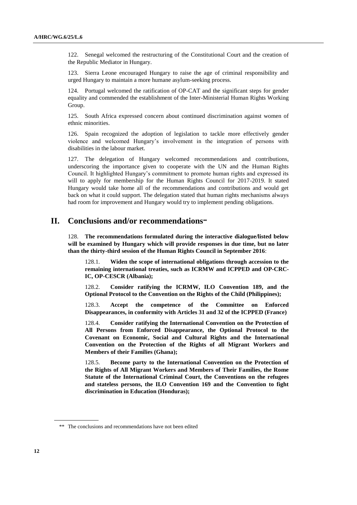122. Senegal welcomed the restructuring of the Constitutional Court and the creation of the Republic Mediator in Hungary.

123. Sierra Leone encouraged Hungary to raise the age of criminal responsibility and urged Hungary to maintain a more humane asylum-seeking process.

124. Portugal welcomed the ratification of OP-CAT and the significant steps for gender equality and commended the establishment of the Inter-Ministerial Human Rights Working Group.

125. South Africa expressed concern about continued discrimination against women of ethnic minorities.

126. Spain recognized the adoption of legislation to tackle more effectively gender violence and welcomed Hungary's involvement in the integration of persons with disabilities in the labour market.

127. The delegation of Hungary welcomed recommendations and contributions, underscoring the importance given to cooperate with the UN and the Human Rights Council. It highlighted Hungary's commitment to promote human rights and expressed its will to apply for membership for the Human Rights Council for 2017-2019. It stated Hungary would take home all of the recommendations and contributions and would get back on what it could support. The delegation stated that human rights mechanisms always had room for improvement and Hungary would try to implement pending obligations.

# **II. Conclusions and/or recommendations**

128. **The recommendations formulated during the interactive dialogue/listed below will be examined by Hungary which will provide responses in due time, but no later than the thirty-third session of the Human Rights Council in September 2016**:

128.1. **Widen the scope of international obligations through accession to the remaining international treaties, such as ICRMW and ICPPED and OP-CRC-IC, OP-CESCR (Albania);**

128.2. **Consider ratifying the ICRMW, ILO Convention 189, and the Optional Protocol to the Convention on the Rights of the Child (Philippines);**

128.3. **Accept the competence of the Committee on Enforced Disappearances, in conformity with Articles 31 and 32 of the ICPPED (France)**

128.4. **Consider ratifying the International Convention on the Protection of All Persons from Enforced Disappearance, the Optional Protocol to the Covenant on Economic, Social and Cultural Rights and the International Convention on the Protection of the Rights of all Migrant Workers and Members of their Families (Ghana);**

128.5. **Become party to the International Convention on the Protection of the Rights of All Migrant Workers and Members of Their Families, the Rome Statute of the International Criminal Court, the Conventions on the refugees and stateless persons, the ILO Convention 169 and the Convention to fight discrimination in Education (Honduras);**

<sup>\*\*</sup> The conclusions and recommendations have not been edited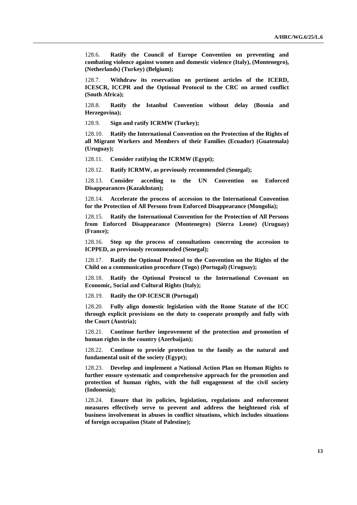128.6. **Ratify the Council of Europe Convention on preventing and combating violence against women and domestic violence (Italy), (Montenegro), (Netherlands) (Turkey) (Belgium);**

128.7. **Withdraw its reservation on pertinent articles of the ICERD, ICESCR, ICCPR and the Optional Protocol to the CRC on armed conflict (South Africa);**

128.8. **Ratify the Istanbul Convention without delay (Bosnia and Herzegovina);**

128.9. **Sign and ratify ICRMW (Turkey);**

128.10. **Ratify the International Convention on the Protection of the Rights of all Migrant Workers and Members of their Families (Ecuador) (Guatemala) (Uruguay);**

128.11. **Consider ratifying the ICRMW (Egypt);**

128.12. **Ratify ICRMW, as previously recommended (Senegal);**

128.13. **Consider acceding to the UN Convention on Enforced Disappearances (Kazakhstan);**

128.14. **Accelerate the process of accession to the International Convention for the Protection of All Persons from Enforced Disappearance (Mongolia);**

128.15. **Ratify the International Convention for the Protection of All Persons from Enforced Disappearance (Montenegro) (Sierra Leone) (Uruguay) (France);**

128.16. **Step up the process of consultations concerning the accession to ICPPED, as previously recommended (Senegal);**

128.17. **Ratify the Optional Protocol to the Convention on the Rights of the Child on a communication procedure (Togo) (Portugal) (Uruguay);**

128.18. **Ratify the Optional Protocol to the International Covenant on Economic, Social and Cultural Rights (Italy);**

128.19. **Ratify the OP-ICESCR (Portugal)**

128.20. **Fully align domestic legislation with the Rome Statute of the ICC through explicit provisions on the duty to cooperate promptly and fully with the Court (Austria);**

128.21. **Continue further improvement of the protection and promotion of human rights in the country (Azerbaijan);**

128.22. **Continue to provide protection to the family as the natural and fundamental unit of the society (Egypt);** 

128.23. **Develop and implement a National Action Plan on Human Rights to further ensure systematic and comprehensive approach for the promotion and protection of human rights, with the full engagement of the civil society (Indonesia);**

128.24. **Ensure that its policies, legislation, regulations and enforcement measures effectively serve to prevent and address the heightened risk of business involvement in abuses in conflict situations, which includes situations of foreign occupation (State of Palestine);**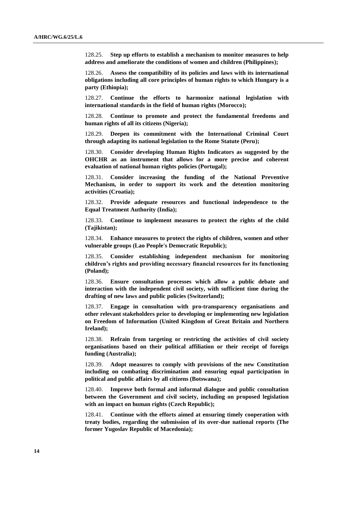128.25. **Step up efforts to establish a mechanism to monitor measures to help address and ameliorate the conditions of women and children (Philippines);**

128.26. **Assess the compatibility of its policies and laws with its international obligations including all core principles of human rights to which Hungary is a party (Ethiopia);**

128.27. **Continue the efforts to harmonize national legislation with international standards in the field of human rights (Morocco);**

128.28. **Continue to promote and protect the fundamental freedoms and human rights of all its citizens (Nigeria);**

128.29. **Deepen its commitment with the International Criminal Court through adapting its national legislation to the Rome Statute (Peru);**

128.30. **Consider developing Human Rights Indicators as suggested by the OHCHR as an instrument that allows for a more precise and coherent evaluation of national human rights policies (Portugal);**

128.31. **Consider increasing the funding of the National Preventive Mechanism, in order to support its work and the detention monitoring activities (Croatia);**

128.32. **Provide adequate resources and functional independence to the Equal Treatment Authority (India);**

128.33. **Continue to implement measures to protect the rights of the child (Tajikistan);**

128.34. **Enhance measures to protect the rights of children, women and other vulnerable groups (Lao People's Democratic Republic);**

128.35. **Consider establishing independent mechanism for monitoring children's rights and providing necessary financial resources for its functioning (Poland);**

128.36. **Ensure consultation processes which allow a public debate and interaction with the independent civil society, with sufficient time during the drafting of new laws and public policies (Switzerland);**

128.37. **Engage in consultation with pro-transparency organisations and other relevant stakeholders prior to developing or implementing new legislation on Freedom of Information (United Kingdom of Great Britain and Northern Ireland);**

128.38. **Refrain from targeting or restricting the activities of civil society organisations based on their political affiliation or their receipt of foreign funding (Australia);**

128.39. **Adopt measures to comply with provisions of the new Constitution including on combating discrimination and ensuring equal participation in political and public affairs by all citizens (Botswana);**

128.40. **Improve both formal and informal dialogue and public consultation between the Government and civil society, including on proposed legislation with an impact on human rights (Czech Republic);**

128.41. **Continue with the efforts aimed at ensuring timely cooperation with treaty bodies, regarding the submission of its over-due national reports (The former Yugoslav Republic of Macedonia);**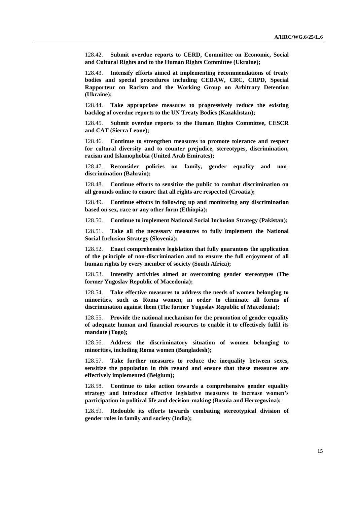128.42. **Submit overdue reports to CERD, Committee on Economic, Social and Cultural Rights and to the Human Rights Committee (Ukraine);**

128.43. **Intensify efforts aimed at implementing recommendations of treaty bodies and special procedures including CEDAW, CRC, CRPD, Special Rapporteur on Racism and the Working Group on Arbitrary Detention (Ukraine);**

128.44. **Take appropriate measures to progressively reduce the existing backlog of overdue reports to the UN Treaty Bodies (Kazakhstan);**

128.45. **Submit overdue reports to the Human Rights Committee, CESCR and CAT (Sierra Leone);**

128.46. **Continue to strengthen measures to promote tolerance and respect for cultural diversity and to counter prejudice, stereotypes, discrimination, racism and Islamophobia (United Arab Emirates);**

128.47. **Reconsider policies on family, gender equality and nondiscrimination (Bahrain);**

128.48. **Continue efforts to sensitize the public to combat discrimination on all grounds online to ensure that all rights are respected (Croatia);**

128.49. **Continue efforts in following up and monitoring any discrimination based on sex, race or any other form (Ethiopia);**

128.50. **Continue to implement National Social Inclusion Strategy (Pakistan);**

128.51. **Take all the necessary measures to fully implement the National Social Inclusion Strategy (Slovenia);**

128.52. **Enact comprehensive legislation that fully guarantees the application of the principle of non-discrimination and to ensure the full enjoyment of all human rights by every member of society (South Africa);**

128.53. **Intensify activities aimed at overcoming gender stereotypes (The former Yugoslav Republic of Macedonia);**

128.54. **Take effective measures to address the needs of women belonging to minorities, such as Roma women, in order to eliminate all forms of discrimination against them (The former Yugoslav Republic of Macedonia);**

128.55. **Provide the national mechanism for the promotion of gender equality of adequate human and financial resources to enable it to effectively fulfil its mandate (Togo);**

128.56. **Address the discriminatory situation of women belonging to minorities, including Roma women (Bangladesh);**

128.57. **Take further measures to reduce the inequality between sexes, sensitize the population in this regard and ensure that these measures are effectively implemented (Belgium);**

128.58. **Continue to take action towards a comprehensive gender equality strategy and introduce effective legislative measures to increase women's participation in political life and decision-making (Bosnia and Herzegovina);**

128.59. **Redouble its efforts towards combating stereotypical division of gender roles in family and society (India);**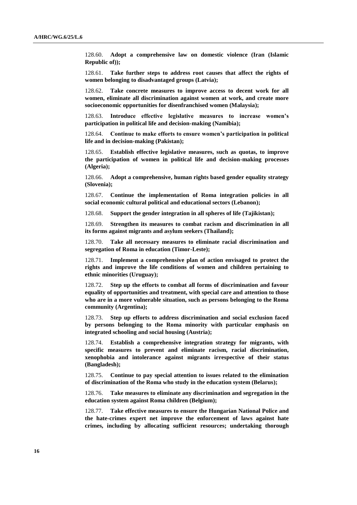128.60. **Adopt a comprehensive law on domestic violence (Iran (Islamic Republic of));**

128.61. **Take further steps to address root causes that affect the rights of women belonging to disadvantaged groups (Latvia);**

128.62. **Take concrete measures to improve access to decent work for all women, eliminate all discrimination against women at work, and create more socioeconomic opportunities for disenfranchised women (Malaysia);**

128.63. **Introduce effective legislative measures to increase women's participation in political life and decision-making (Namibia);**

128.64. **Continue to make efforts to ensure women's participation in political life and in decision-making (Pakistan);**

128.65. **Establish effective legislative measures, such as quotas, to improve the participation of women in political life and decision-making processes (Algeria);**

128.66. **Adopt a comprehensive, human rights based gender equality strategy (Slovenia);**

128.67. **Continue the implementation of Roma integration policies in all social economic cultural political and educational sectors (Lebanon);**

128.68. **Support the gender integration in all spheres of life (Tajikistan);**

128.69. **Strengthen its measures to combat racism and discrimination in all its forms against migrants and asylum seekers (Thailand);**

128.70. **Take all necessary measures to eliminate racial discrimination and segregation of Roma in education (Timor-Leste);**

128.71. **Implement a comprehensive plan of action envisaged to protect the rights and improve the life conditions of women and children pertaining to ethnic minorities (Uruguay);**

128.72. **Step up the efforts to combat all forms of discrimination and favour equality of opportunities and treatment, with special care and attention to those who are in a more vulnerable situation, such as persons belonging to the Roma community (Argentina);**

128.73. **Step up efforts to address discrimination and social exclusion faced by persons belonging to the Roma minority with particular emphasis on integrated schooling and social housing (Austria);**

128.74. **Establish a comprehensive integration strategy for migrants, with specific measures to prevent and eliminate racism, racial discrimination, xenophobia and intolerance against migrants irrespective of their status (Bangladesh);**

128.75. **Continue to pay special attention to issues related to the elimination of discrimination of the Roma who study in the education system (Belarus);**

128.76. **Take measures to eliminate any discrimination and segregation in the education system against Roma children (Belgium);**

128.77. **Take effective measures to ensure the Hungarian National Police and the hate-crimes expert net improve the enforcement of laws against hate crimes, including by allocating sufficient resources; undertaking thorough**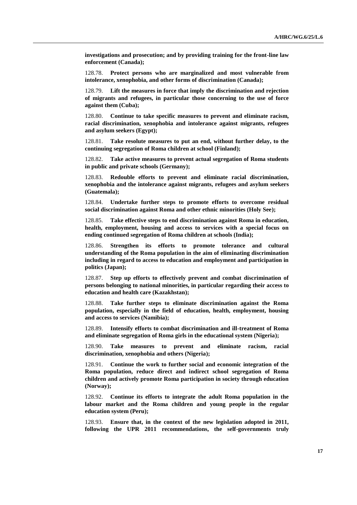**investigations and prosecution; and by providing training for the front-line law enforcement (Canada);**

128.78. **Protect persons who are marginalized and most vulnerable from intolerance, xenophobia, and other forms of discrimination (Canada);**

128.79. **Lift the measures in force that imply the discrimination and rejection of migrants and refugees, in particular those concerning to the use of force against them (Cuba);**

128.80. **Continue to take specific measures to prevent and eliminate racism, racial discrimination, xenophobia and intolerance against migrants, refugees and asylum seekers (Egypt);**

128.81. **Take resolute measures to put an end, without further delay, to the continuing segregation of Roma children at school (Finland);**

128.82. **Take active measures to prevent actual segregation of Roma students in public and private schools (Germany);**

128.83. **Redouble efforts to prevent and eliminate racial discrimination, xenophobia and the intolerance against migrants, refugees and asylum seekers (Guatemala);**

128.84. **Undertake further steps to promote efforts to overcome residual social discrimination against Roma and other ethnic minorities (Holy See);**

128.85. **Take effective steps to end discrimination against Roma in education, health, employment, housing and access to services with a special focus on ending continued segregation of Roma children at schools (India);**

128.86. **Strengthen its efforts to promote tolerance and cultural understanding of the Roma population in the aim of eliminating discrimination including in regard to access to education and employment and participation in politics (Japan);**

128.87. **Step up efforts to effectively prevent and combat discrimination of persons belonging to national minorities, in particular regarding their access to education and health care (Kazakhstan);**

128.88. **Take further steps to eliminate discrimination against the Roma population, especially in the field of education, health, employment, housing and access to services (Namibia);**

128.89. **Intensify efforts to combat discrimination and ill-treatment of Roma and eliminate segregation of Roma girls in the educational system (Nigeria);**

128.90. **Take measures to prevent and eliminate racism, racial discrimination, xenophobia and others (Nigeria);**

128.91. **Continue the work to further social and economic integration of the Roma population, reduce direct and indirect school segregation of Roma children and actively promote Roma participation in society through education (Norway);**

128.92. **Continue its efforts to integrate the adult Roma population in the labour market and the Roma children and young people in the regular education system (Peru);**

128.93. **Ensure that, in the context of the new legislation adopted in 2011, following the UPR 2011 recommendations, the self-governments truly**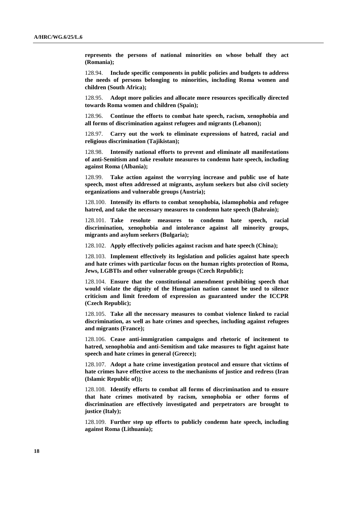**represents the persons of national minorities on whose behalf they act (Romania);**

128.94. **Include specific components in public policies and budgets to address the needs of persons belonging to minorities, including Roma women and children (South Africa);**

128.95. **Adopt more policies and allocate more resources specifically directed towards Roma women and children (Spain);**

128.96. **Continue the efforts to combat hate speech, racism, xenophobia and all forms of discrimination against refugees and migrants (Lebanon);**

128.97. **Carry out the work to eliminate expressions of hatred, racial and religious discrimination (Tajikistan);**

128.98. **Intensify national efforts to prevent and eliminate all manifestations of anti-Semitism and take resolute measures to condemn hate speech, including against Roma (Albania);**

128.99. **Take action against the worrying increase and public use of hate speech, most often addressed at migrants, asylum seekers but also civil society organizations and vulnerable groups (Austria);**

128.100. **Intensify its efforts to combat xenophobia, islamophobia and refugee hatred, and take the necessary measures to condemn hate speech (Bahrain);**

128.101. **Take resolute measures to condemn hate speech, racial discrimination, xenophobia and intolerance against all minority groups, migrants and asylum seekers (Bulgaria);**

128.102. **Apply effectively policies against racism and hate speech (China);**

128.103. **Implement effectively its legislation and policies against hate speech and hate crimes with particular focus on the human rights protection of Roma, Jews, LGBTIs and other vulnerable groups (Czech Republic);**

128.104. **Ensure that the constitutional amendment prohibiting speech that would violate the dignity of the Hungarian nation cannot be used to silence criticism and limit freedom of expression as guaranteed under the ICCPR (Czech Republic);**

128.105. **Take all the necessary measures to combat violence linked to racial discrimination, as well as hate crimes and speeches, including against refugees and migrants (France);**

128.106. **Cease anti-immigration campaigns and rhetoric of incitement to hatred, xenophobia and anti-Semitism and take measures to fight against hate speech and hate crimes in general (Greece);**

128.107. **Adopt a hate crime investigation protocol and ensure that victims of hate crimes have effective access to the mechanisms of justice and redress (Iran (Islamic Republic of));**

128.108. **Identify efforts to combat all forms of discrimination and to ensure that hate crimes motivated by racism, xenophobia or other forms of discrimination are effectively investigated and perpetrators are brought to justice (Italy);**

128.109. **Further step up efforts to publicly condemn hate speech, including against Roma (Lithuania);**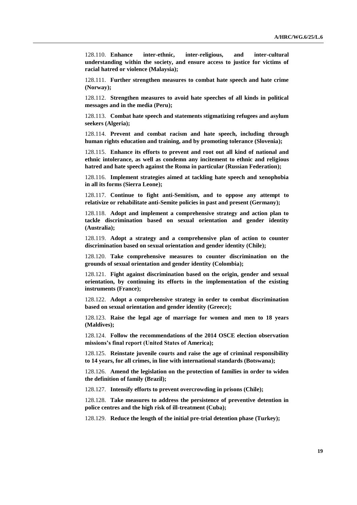128.110. **Enhance inter-ethnic, inter-religious, and inter-cultural understanding within the society, and ensure access to justice for victims of racial hatred or violence (Malaysia);**

128.111. **Further strengthen measures to combat hate speech and hate crime (Norway);**

128.112. **Strengthen measures to avoid hate speeches of all kinds in political messages and in the media (Peru);**

128.113. **Combat hate speech and statements stigmatizing refugees and asylum seekers (Algeria);**

128.114. **Prevent and combat racism and hate speech, including through human rights education and training, and by promoting tolerance (Slovenia);**

128.115. **Enhance its efforts to prevent and root out all kind of national and ethnic intolerance, as well as condemn any incitement to ethnic and religious hatred and hate speech against the Roma in particular (Russian Federation);**

128.116. **Implement strategies aimed at tackling hate speech and xenophobia in all its forms (Sierra Leone);**

128.117. **Continue to fight anti-Semitism, and to oppose any attempt to relativize or rehabilitate anti-Semite policies in past and present (Germany);**

128.118. **Adopt and implement a comprehensive strategy and action plan to tackle discrimination based on sexual orientation and gender identity (Australia);**

128.119. **Adopt a strategy and a comprehensive plan of action to counter discrimination based on sexual orientation and gender identity (Chile);**

128.120. **Take comprehensive measures to counter discrimination on the grounds of sexual orientation and gender identity (Colombia);**

128.121. **Fight against discrimination based on the origin, gender and sexual orientation, by continuing its efforts in the implementation of the existing instruments (France);**

128.122. **Adopt a comprehensive strategy in order to combat discrimination based on sexual orientation and gender identity (Greece);**

128.123. **Raise the legal age of marriage for women and men to 18 years (Maldives);**

128.124. **Follow the recommendations of the 2014 OSCE election observation missions's final report (United States of America);**

128.125. **Reinstate juvenile courts and raise the age of criminal responsibility to 14 years, for all crimes, in line with international standards (Botswana);**

128.126. **Amend the legislation on the protection of families in order to widen the definition of family (Brazil);**

128.127. **Intensify efforts to prevent overcrowding in prisons (Chile);**

128.128. **Take measures to address the persistence of preventive detention in police centres and the high risk of ill-treatment (Cuba);**

128.129. **Reduce the length of the initial pre-trial detention phase (Turkey);**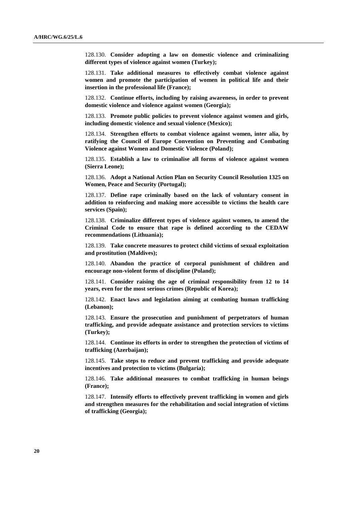128.130. **Consider adopting a law on domestic violence and criminalizing different types of violence against women (Turkey);**

128.131. **Take additional measures to effectively combat violence against women and promote the participation of women in political life and their insertion in the professional life (France);**

128.132. **Continue efforts, including by raising awareness, in order to prevent domestic violence and violence against women (Georgia);**

128.133. **Promote public policies to prevent violence against women and girls, including domestic violence and sexual violence (Mexico);**

128.134. **Strengthen efforts to combat violence against women, inter alia, by ratifying the Council of Europe Convention on Preventing and Combating Violence against Women and Domestic Violence (Poland);**

128.135. **Establish a law to criminalise all forms of violence against women (Sierra Leone);**

128.136. **Adopt a National Action Plan on Security Council Resolution 1325 on Women, Peace and Security (Portugal);**

128.137. **Define rape criminally based on the lack of voluntary consent in addition to reinforcing and making more accessible to victims the health care services (Spain);**

128.138. **Criminalize different types of violence against women, to amend the Criminal Code to ensure that rape is defined according to the CEDAW recommendations (Lithuania);**

128.139. **Take concrete measures to protect child victims of sexual exploitation and prostitution (Maldives);**

128.140. **Abandon the practice of corporal punishment of children and encourage non-violent forms of discipline (Poland);**

128.141. **Consider raising the age of criminal responsibility from 12 to 14 years, even for the most serious crimes (Republic of Korea);**

128.142. **Enact laws and legislation aiming at combating human trafficking (Lebanon);**

128.143. **Ensure the prosecution and punishment of perpetrators of human trafficking, and provide adequate assistance and protection services to victims (Turkey);**

128.144. **Continue its efforts in order to strengthen the protection of victims of trafficking (Azerbaijan);**

128.145. **Take steps to reduce and prevent trafficking and provide adequate incentives and protection to victims (Bulgaria);**

128.146. **Take additional measures to combat trafficking in human beings (France);**

128.147. **Intensify efforts to effectively prevent trafficking in women and girls and strengthen measures for the rehabilitation and social integration of victims of trafficking (Georgia);**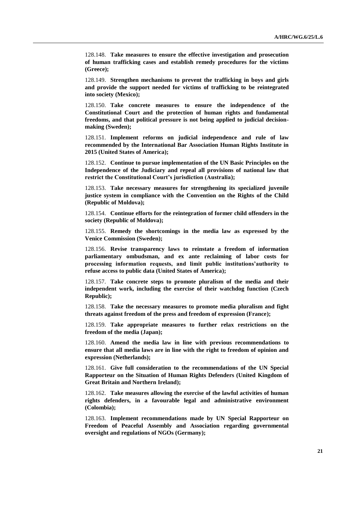128.148. **Take measures to ensure the effective investigation and prosecution of human trafficking cases and establish remedy procedures for the victims (Greece);**

128.149. **Strengthen mechanisms to prevent the trafficking in boys and girls and provide the support needed for victims of trafficking to be reintegrated into society (Mexico);**

128.150. **Take concrete measures to ensure the independence of the Constitutional Court and the protection of human rights and fundamental freedoms, and that political pressure is not being applied to judicial decisionmaking (Sweden);**

128.151. **Implement reforms on judicial independence and rule of law recommended by the International Bar Association Human Rights Institute in 2015 (United States of America);**

128.152. **Continue to pursue implementation of the UN Basic Principles on the Independence of the Judiciary and repeal all provisions of national law that restrict the Constitutional Court's jurisdiction (Australia);**

128.153. **Take necessary measures for strengthening its specialized juvenile justice system in compliance with the Convention on the Rights of the Child (Republic of Moldova);**

128.154. **Continue efforts for the reintegration of former child offenders in the society (Republic of Moldova);**

128.155. **Remedy the shortcomings in the media law as expressed by the Venice Commission (Sweden);**

128.156. **Revise transparency laws to reinstate a freedom of information parliamentary ombudsman, and ex ante reclaiming of labor costs for processing information requests, and limit public institutions'authority to refuse access to public data (United States of America);**

128.157. **Take concrete steps to promote pluralism of the media and their independent work, including the exercise of their watchdog function (Czech Republic);**

128.158. **Take the necessary measures to promote media pluralism and fight threats against freedom of the press and freedom of expression (France);**

128.159. **Take appropriate measures to further relax restrictions on the freedom of the media (Japan);**

128.160. **Amend the media law in line with previous recommendations to ensure that all media laws are in line with the right to freedom of opinion and expression (Netherlands);**

128.161. **Give full consideration to the recommendations of the UN Special Rapporteur on the Situation of Human Rights Defenders (United Kingdom of Great Britain and Northern Ireland);**

128.162. **Take measures allowing the exercise of the lawful activities of human rights defenders, in a favourable legal and administrative environment (Colombia);**

128.163. **Implement recommendations made by UN Special Rapporteur on Freedom of Peaceful Assembly and Association regarding governmental oversight and regulations of NGOs (Germany);**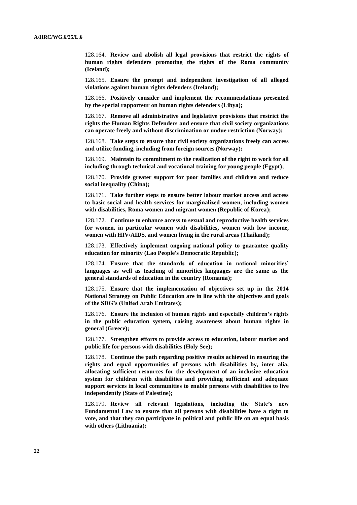128.164. **Review and abolish all legal provisions that restrict the rights of human rights defenders promoting the rights of the Roma community (Iceland);**

128.165. **Ensure the prompt and independent investigation of all alleged violations against human rights defenders (Ireland);**

128.166. **Positively consider and implement the recommendations presented by the special rapporteur on human rights defenders (Libya);**

128.167. **Remove all administrative and legislative provisions that restrict the rights the Human Rights Defenders and ensure that civil society organizations can operate freely and without discrimination or undue restriction (Norway);**

128.168. **Take steps to ensure that civil society organizations freely can access and utilize funding, including from foreign sources (Norway);**

128.169. **Maintain its commitment to the realization of the right to work for all including through technical and vocational training for young people (Egypt);**

128.170. **Provide greater support for poor families and children and reduce social inequality (China);**

128.171. **Take further steps to ensure better labour market access and access to basic social and health services for marginalized women, including women with disabilities, Roma women and migrant women (Republic of Korea);**

128.172. **Continue to enhance access to sexual and reproductive health services for women, in particular women with disabilities, women with low income, women with HIV/AIDS, and women living in the rural areas (Thailand);**

128.173. **Effectively implement ongoing national policy to guarantee quality education for minority (Lao People's Democratic Republic);**

128.174. **Ensure that the standards of education in national minorities' languages as well as teaching of minorities languages are the same as the general standards of education in the country (Romania);**

128.175. **Ensure that the implementation of objectives set up in the 2014 National Strategy on Public Education are in line with the objectives and goals of the SDG's (United Arab Emirates);**

128.176. **Ensure the inclusion of human rights and especially children's rights in the public education system, raising awareness about human rights in general (Greece);**

128.177. **Strengthen efforts to provide access to education, labour market and public life for persons with disabilities (Holy See);**

128.178. **Continue the path regarding positive results achieved in ensuring the rights and equal opportunities of persons with disabilities by, inter alia, allocating sufficient resources for the development of an inclusive education system for children with disabilities and providing sufficient and adequate support services in local communities to enable persons with disabilities to live independently (State of Palestine);**

128.179. **Review all relevant legislations, including the State's new Fundamental Law to ensure that all persons with disabilities have a right to vote, and that they can participate in political and public life on an equal basis with others (Lithuania);**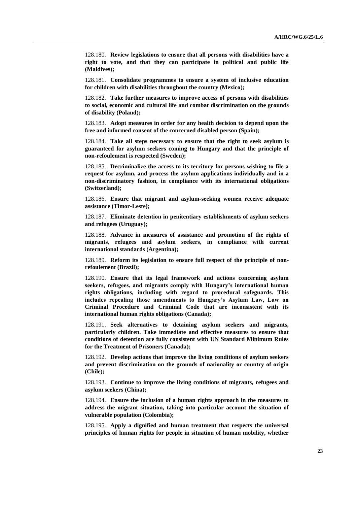128.180. **Review legislations to ensure that all persons with disabilities have a right to vote, and that they can participate in political and public life (Maldives);**

128.181. **Consolidate programmes to ensure a system of inclusive education for children with disabilities throughout the country (Mexico);**

128.182. **Take further measures to improve access of persons with disabilities to social, economic and cultural life and combat discrimination on the grounds of disability (Poland);**

128.183. **Adopt measures in order for any health decision to depend upon the free and informed consent of the concerned disabled person (Spain);**

128.184. **Take all steps necessary to ensure that the right to seek asylum is guaranteed for asylum seekers coming to Hungary and that the principle of non-refoulement is respected (Sweden);**

128.185. **Decriminalize the access to its territory for persons wishing to file a request for asylum, and process the asylum applications individually and in a non-discriminatory fashion, in compliance with its international obligations (Switzerland);**

128.186. **Ensure that migrant and asylum-seeking women receive adequate assistance (Timor-Leste);**

128.187. **Eliminate detention in penitentiary establishments of asylum seekers and refugees (Uruguay);**

128.188. **Advance in measures of assistance and promotion of the rights of migrants, refugees and asylum seekers, in compliance with current international standards (Argentina);**

128.189. **Reform its legislation to ensure full respect of the principle of nonrefoulement (Brazil);**

128.190. **Ensure that its legal framework and actions concerning asylum seekers, refugees, and migrants comply with Hungary's international human rights obligations, including with regard to procedural safeguards. This includes repealing those amendments to Hungary's Asylum Law, Law on Criminal Procedure and Criminal Code that are inconsistent with its international human rights obligations (Canada);**

128.191. **Seek alternatives to detaining asylum seekers and migrants, particularly children. Take immediate and effective measures to ensure that conditions of detention are fully consistent with UN Standard Minimum Rules for the Treatment of Prisoners (Canada);**

128.192. **Develop actions that improve the living conditions of asylum seekers and prevent discrimination on the grounds of nationality or country of origin (Chile);**

128.193. **Continue to improve the living conditions of migrants, refugees and asylum seekers (China);**

128.194. **Ensure the inclusion of a human rights approach in the measures to address the migrant situation, taking into particular account the situation of vulnerable population (Colombia);**

128.195. **Apply a dignified and human treatment that respects the universal principles of human rights for people in situation of human mobility, whether**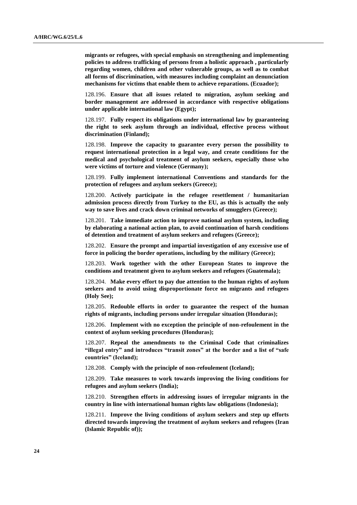**migrants or refugees, with special emphasis on strengthening and implementing policies to address trafficking of persons from a holistic approach , particularly regarding women, children and other vulnerable groups, as well as to combat all forms of discrimination, with measures including complaint an denunciation mechanisms for victims that enable them to achieve reparations. (Ecuador);**

128.196. **Ensure that all issues related to migration, asylum seeking and border management are addressed in accordance with respective obligations under applicable international law (Egypt);**

128.197. **Fully respect its obligations under international law by guaranteeing the right to seek asylum through an individual, effective process without discrimination (Finland);**

128.198. **Improve the capacity to guarantee every person the possibility to request international protection in a legal way, and create conditions for the medical and psychological treatment of asylum seekers, especially those who were victims of torture and violence (Germany);**

128.199. **Fully implement international Conventions and standards for the protection of refugees and asylum seekers (Greece);**

128.200. **Actively participate in the refugee resettlement / humanitarian admission process directly from Turkey to the EU, as this is actually the only way to save lives and crack down criminal networks of smugglers (Greece);**

128.201. **Take immediate action to improve national asylum system, including by elaborating a national action plan, to avoid continuation of harsh conditions of detention and treatment of asylum seekers and refugees (Greece);**

128.202. **Ensure the prompt and impartial investigation of any excessive use of force in policing the border operations, including by the military (Greece);**

128.203. **Work together with the other European States to improve the conditions and treatment given to asylum seekers and refugees (Guatemala);**

128.204. **Make every effort to pay due attention to the human rights of asylum seekers and to avoid using disproportionate force on migrants and refugees (Holy See);**

128.205. **Redouble efforts in order to guarantee the respect of the human rights of migrants, including persons under irregular situation (Honduras);**

128.206. **Implement with no exception the principle of non-refoulement in the context of asylum seeking procedures (Honduras);**

128.207. **Repeal the amendments to the Criminal Code that criminalizes "illegal entry" and introduces "transit zones" at the border and a list of "safe countries" (Iceland);**

128.208. **Comply with the principle of non-refoulement (Iceland);**

128.209. **Take measures to work towards improving the living conditions for refugees and asylum seekers (India);**

128.210. **Strengthen efforts in addressing issues of irregular migrants in the country in line with international human rights law obligations (Indonesia);**

128.211. **Improve the living conditions of asylum seekers and step up efforts directed towards improving the treatment of asylum seekers and refugees (Iran (Islamic Republic of));**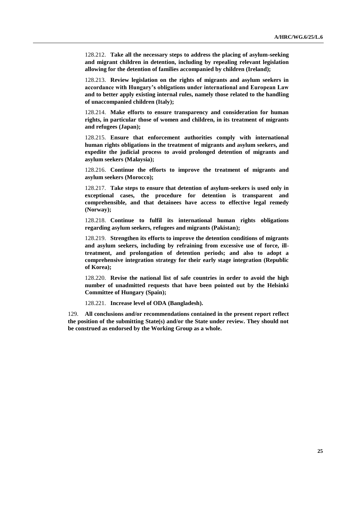128.212. **Take all the necessary steps to address the placing of asylum-seeking and migrant children in detention, including by repealing relevant legislation allowing for the detention of families accompanied by children (Ireland);**

128.213. **Review legislation on the rights of migrants and asylum seekers in accordance with Hungary's obligations under international and European Law and to better apply existing internal rules, namely those related to the handling of unaccompanied children (Italy);**

128.214. **Make efforts to ensure transparency and consideration for human rights, in particular those of women and children, in its treatment of migrants and refugees (Japan);**

128.215. **Ensure that enforcement authorities comply with international human rights obligations in the treatment of migrants and asylum seekers, and expedite the judicial process to avoid prolonged detention of migrants and asylum seekers (Malaysia);**

128.216. **Continue the efforts to improve the treatment of migrants and asylum seekers (Morocco);**

128.217. **Take steps to ensure that detention of asylum-seekers is used only in exceptional cases, the procedure for detention is transparent and comprehensible, and that detainees have access to effective legal remedy (Norway);**

128.218. **Continue to fulfil its international human rights obligations regarding asylum seekers, refugees and migrants (Pakistan);**

128.219. **Strengthen its efforts to improve the detention conditions of migrants and asylum seekers, including by refraining from excessive use of force, illtreatment, and prolongation of detention periods; and also to adopt a comprehensive integration strategy for their early stage integration (Republic of Korea);**

128.220. **Revise the national list of safe countries in order to avoid the high number of unadmitted requests that have been pointed out by the Helsinki Committee of Hungary (Spain);**

128.221. **Increase level of ODA (Bangladesh).**

129. **All conclusions and/or recommendations contained in the present report reflect the position of the submitting State(s) and/or the State under review. They should not be construed as endorsed by the Working Group as a whole.**